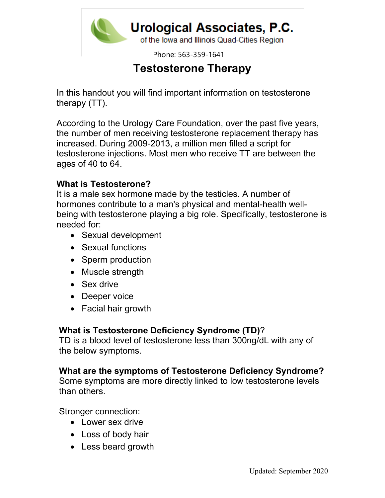

Phone: 563-359-1641

# Testosterone Therapy

In this handout you will find important information on testosterone therapy (TT).

According to the Urology Care Foundation, over the past five years, the number of men receiving testosterone replacement therapy has increased. During 2009-2013, a million men filled a script for testosterone injections. Most men who receive TT are between the ages of 40 to 64.

### What is Testosterone?

It is a male sex hormone made by the testicles. A number of hormones contribute to a man's physical and mental-health wellbeing with testosterone playing a big role. Specifically, testosterone is needed for:

- Sexual development
- Sexual functions
- Sperm production
- Muscle strength
- Sex drive
- Deeper voice
- Facial hair growth

### What is Testosterone Deficiency Syndrome (TD)?

TD is a blood level of testosterone less than 300ng/dL with any of the below symptoms.

### What are the symptoms of Testosterone Deficiency Syndrome?

Some symptoms are more directly linked to low testosterone levels than others.

Stronger connection:

- Lower sex drive
- Loss of body hair
- Less beard growth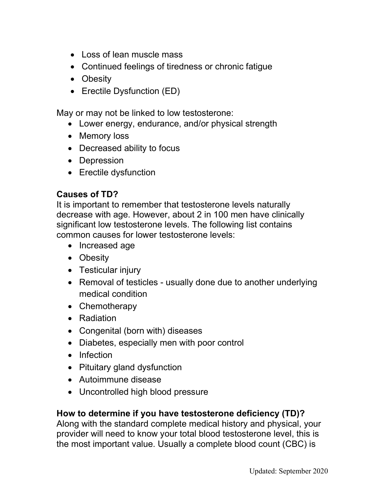- Loss of lean muscle mass
- Continued feelings of tiredness or chronic fatigue
- Obesity
- Erectile Dysfunction (ED)

May or may not be linked to low testosterone:

- Lower energy, endurance, and/or physical strength
- Memory loss
- Decreased ability to focus
- Depression
- Erectile dysfunction

## Causes of TD?

It is important to remember that testosterone levels naturally decrease with age. However, about 2 in 100 men have clinically significant low testosterone levels. The following list contains common causes for lower testosterone levels:

- Increased age
- Obesity
- Testicular injury
- Removal of testicles usually done due to another underlying medical condition
- Chemotherapy
- Radiation
- Congenital (born with) diseases
- Diabetes, especially men with poor control
- Infection
- Pituitary gland dysfunction
- Autoimmune disease
- Uncontrolled high blood pressure

## How to determine if you have testosterone deficiency (TD)?

Along with the standard complete medical history and physical, your provider will need to know your total blood testosterone level, this is the most important value. Usually a complete blood count (CBC) is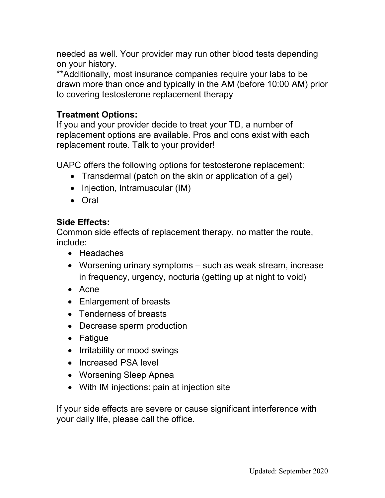needed as well. Your provider may run other blood tests depending on your history.

\*\*Additionally, most insurance companies require your labs to be drawn more than once and typically in the AM (before 10:00 AM) prior to covering testosterone replacement therapy

### Treatment Options:

If you and your provider decide to treat your TD, a number of replacement options are available. Pros and cons exist with each replacement route. Talk to your provider!

UAPC offers the following options for testosterone replacement:

- Transdermal (patch on the skin or application of a gel)
- Injection, Intramuscular (IM)
- Oral

### Side Effects:

Common side effects of replacement therapy, no matter the route, include:

- Headaches
- Worsening urinary symptoms such as weak stream, increase in frequency, urgency, nocturia (getting up at night to void)
- Acne
- Enlargement of breasts
- Tenderness of breasts
- Decrease sperm production
- Fatigue
- Irritability or mood swings
- Increased PSA level
- Worsening Sleep Apnea
- With IM injections: pain at injection site

If your side effects are severe or cause significant interference with your daily life, please call the office.